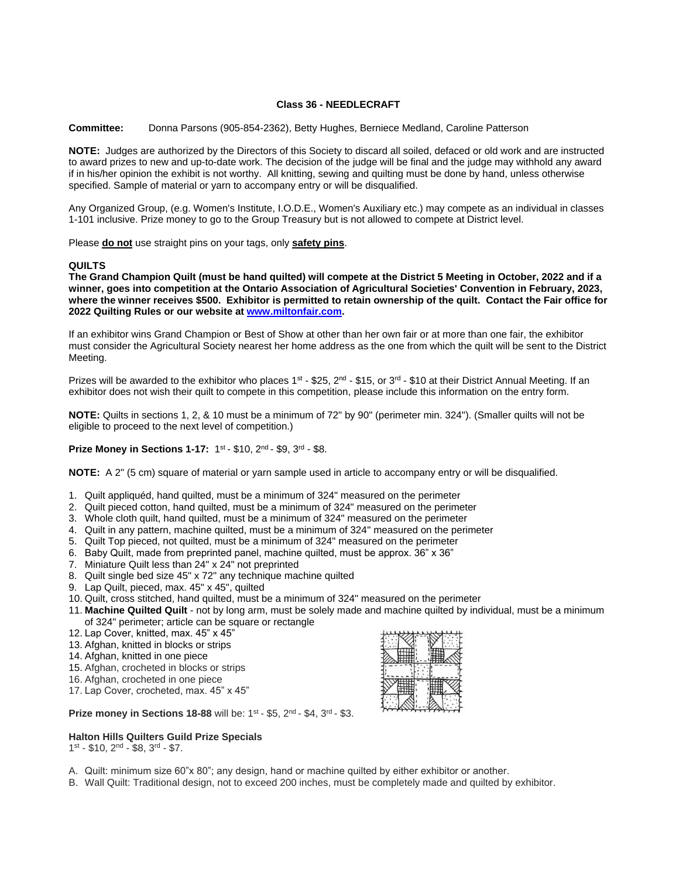# **Class 36 - NEEDLECRAFT**

**Committee:** Donna Parsons (905-854-2362), Betty Hughes, Berniece Medland, Caroline Patterson

**NOTE:** Judges are authorized by the Directors of this Society to discard all soiled, defaced or old work and are instructed to award prizes to new and up-to-date work. The decision of the judge will be final and the judge may withhold any award if in his/her opinion the exhibit is not worthy. All knitting, sewing and quilting must be done by hand, unless otherwise specified. Sample of material or yarn to accompany entry or will be disqualified.

Any Organized Group, (e.g. Women's Institute, I.O.D.E., Women's Auxiliary etc.) may compete as an individual in classes 1-101 inclusive. Prize money to go to the Group Treasury but is not allowed to compete at District level.

Please **do not** use straight pins on your tags, only **safety pins**.

# **QUILTS**

**The Grand Champion Quilt (must be hand quilted) will compete at the District 5 Meeting in October, 2022 and if a winner, goes into competition at the Ontario Association of Agricultural Societies' Convention in February, 2023, where the winner receives \$500. Exhibitor is permitted to retain ownership of the quilt. Contact the Fair office for 2022 Quilting Rules or our website a[t www.miltonfair.com.](http://www.miltonfair.com/)** 

If an exhibitor wins Grand Champion or Best of Show at other than her own fair or at more than one fair, the exhibitor must consider the Agricultural Society nearest her home address as the one from which the quilt will be sent to the District Meeting.

Prizes will be awarded to the exhibitor who places  $1^{st}$  - \$25,  $2^{nd}$  - \$15, or  $3^{rd}$  - \$10 at their District Annual Meeting. If an exhibitor does not wish their quilt to compete in this competition, please include this information on the entry form.

**NOTE:** Quilts in sections 1, 2, & 10 must be a minimum of 72" by 90" (perimeter min. 324"). (Smaller quilts will not be eligible to proceed to the next level of competition.)

**Prize Money in Sections 1-17:** 1<sup>st</sup> - \$10, 2<sup>nd</sup> - \$9, 3<sup>rd</sup> - \$8.

**NOTE:** A 2" (5 cm) square of material or yarn sample used in article to accompany entry or will be disqualified.

- 1. Quilt appliquéd, hand quilted, must be a minimum of 324" measured on the perimeter
- 2. Quilt pieced cotton, hand quilted, must be a minimum of 324" measured on the perimeter
- 3. Whole cloth quilt, hand quilted, must be a minimum of 324" measured on the perimeter
- 4. Quilt in any pattern, machine quilted, must be a minimum of 324" measured on the perimeter
- 5. Quilt Top pieced, not quilted, must be a minimum of 324" measured on the perimeter
- 6. Baby Quilt, made from preprinted panel, machine quilted, must be approx. 36" x 36"
- 7. Miniature Quilt less than 24" x 24" not preprinted
- 8. Quilt single bed size 45" x 72" any technique machine quilted
- 9. Lap Quilt, pieced, max. 45" x 45", quilted
- 10. Quilt, cross stitched, hand quilted, must be a minimum of 324" measured on the perimeter
- 11. **Machine Quilted Quilt**  not by long arm, must be solely made and machine quilted by individual, must be a minimum of 324" perimeter; article can be square or rectangle
- 12. Lap Cover, knitted, max. 45" x 45"
- 13. Afghan, knitted in blocks or strips
- 14. Afghan, knitted in one piece
- 15. Afghan, crocheted in blocks or strips
- 16. Afghan, crocheted in one piece
- 17. Lap Cover, crocheted, max. 45" x 45"

**Prize money in Sections 18-88** will be: 1<sup>st</sup> - \$5, 2<sup>nd</sup> - \$4, 3<sup>rd</sup> - \$3.

#### **Halton Hills Quilters Guild Prize Specials**

1st - \$10, 2<sup>nd</sup> - \$8, 3<sup>rd</sup> - \$7.

- A. Quilt: minimum size 60"x 80"; any design, hand or machine quilted by either exhibitor or another.
- B. Wall Quilt: Traditional design, not to exceed 200 inches, must be completely made and quilted by exhibitor.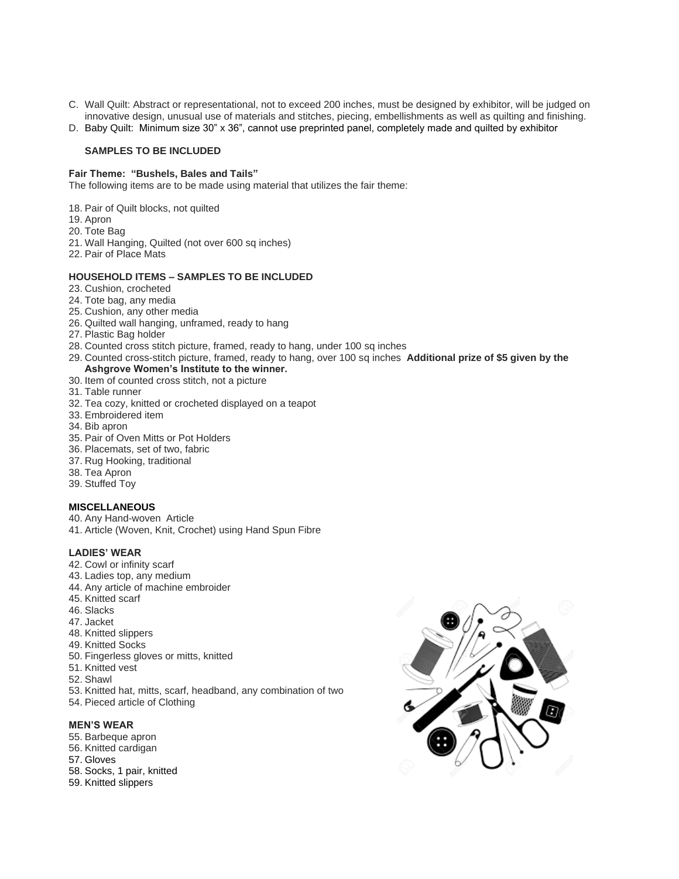- C. Wall Quilt: Abstract or representational, not to exceed 200 inches, must be designed by exhibitor, will be judged on innovative design, unusual use of materials and stitches, piecing, embellishments as well as quilting and finishing.
- D. Baby Quilt: Minimum size 30" x 36", cannot use preprinted panel, completely made and quilted by exhibitor

## **SAMPLES TO BE INCLUDED**

#### **Fair Theme: "Bushels, Bales and Tails"**

The following items are to be made using material that utilizes the fair theme:

- 18. Pair of Quilt blocks, not quilted
- 19. Apron
- 20. Tote Bag
- 21. Wall Hanging, Quilted (not over 600 sq inches)
- 22. Pair of Place Mats

# **HOUSEHOLD ITEMS – SAMPLES TO BE INCLUDED**

- 23. Cushion, crocheted
- 24. Tote bag, any media
- 25. Cushion, any other media
- 26. Quilted wall hanging, unframed, ready to hang
- 27. Plastic Bag holder
- 28. Counted cross stitch picture, framed, ready to hang, under 100 sq inches
- 29. Counted cross-stitch picture, framed, ready to hang, over 100 sq inches **Additional prize of \$5 given by the Ashgrove Women's Institute to the winner.**
- 30. Item of counted cross stitch, not a picture
- 31. Table runner
- 32. Tea cozy, knitted or crocheted displayed on a teapot
- 33. Embroidered item
- 34. Bib apron
- 35. Pair of Oven Mitts or Pot Holders
- 36. Placemats, set of two, fabric
- 37. Rug Hooking, traditional
- 38. Tea Apron
- 39. Stuffed Toy

#### **MISCELLANEOUS**

- 40. Any Hand-woven Article
- 41. Article (Woven, Knit, Crochet) using Hand Spun Fibre

#### **LADIES' WEAR**

- 42. Cowl or infinity scarf
- 43. Ladies top, any medium
- 44. Any article of machine embroider
- 45. Knitted scarf
- 46. Slacks
- 47. Jacket
- 48. Knitted slippers
- 49. Knitted Socks
- 50. Fingerless gloves or mitts, knitted
- 51. Knitted vest
- 52. Shawl
- 53. Knitted hat, mitts, scarf, headband, any combination of two
- 54. Pieced article of Clothing

#### **MEN'S WEAR**

- 55. Barbeque apron
- 56. Knitted cardigan
- 57. Gloves
- 58. Socks, 1 pair, knitted
- 59. Knitted slippers

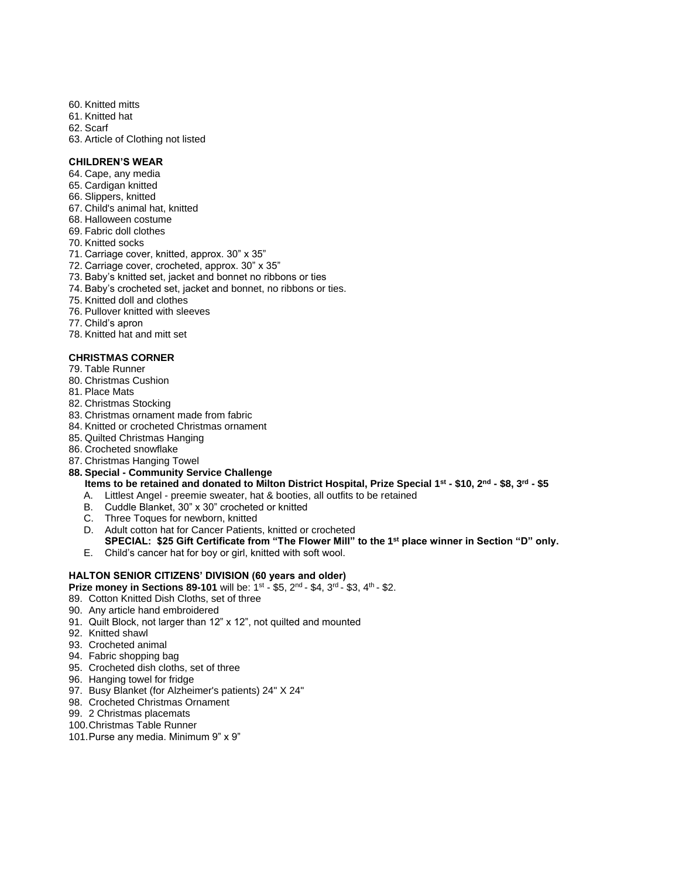- 60. Knitted mitts
- 61. Knitted hat
- 62. Scarf
- 63. Article of Clothing not listed

# **CHILDREN'S WEAR**

- 64. Cape, any media
- 65. Cardigan knitted
- 66. Slippers, knitted
- 67. Child's animal hat, knitted
- 68. Halloween costume
- 69. Fabric doll clothes
- 70. Knitted socks
- 71. Carriage cover, knitted, approx. 30" x 35"
- 72. Carriage cover, crocheted, approx. 30" x 35"
- 73. Baby's knitted set, jacket and bonnet no ribbons or ties
- 74. Baby's crocheted set, jacket and bonnet, no ribbons or ties.
- 75. Knitted doll and clothes
- 76. Pullover knitted with sleeves
- 77. Child's apron
- 78. Knitted hat and mitt set

# **CHRISTMAS CORNER**

- 79. Table Runner
- 80. Christmas Cushion
- 81. Place Mats
- 82. Christmas Stocking
- 83. Christmas ornament made from fabric
- 84. Knitted or crocheted Christmas ornament
- 85. Quilted Christmas Hanging
- 86. Crocheted snowflake
- 87. Christmas Hanging Towel
- **88. Special - Community Service Challenge**

**Items to be retained and donated to Milton District Hospital, Prize Special 1st - \$10, 2nd - \$8, 3rd - \$5**

- A. Littlest Angel preemie sweater, hat & booties, all outfits to be retained
- B. Cuddle Blanket, 30" x 30" crocheted or knitted
- C. Three Toques for newborn, knitted
- D. Adult cotton hat for Cancer Patients, knitted or crocheted **SPECIAL: \$25 Gift Certificate from "The Flower Mill" to the 1st place winner in Section "D" only.**
- E. Child's cancer hat for boy or girl, knitted with soft wool.

# **HALTON SENIOR CITIZENS' DIVISION (60 years and older)**

**Prize money in Sections 89-101** will be:  $1^{st}$  - \$5,  $2^{nd}$  - \$4,  $3^{rd}$  - \$3,  $4^{th}$  - \$2.

- 89. Cotton Knitted Dish Cloths, set of three
- 90. Any article hand embroidered
- 91. Quilt Block, not larger than 12" x 12", not quilted and mounted
- 92. Knitted shawl
- 93. Crocheted animal
- 94. Fabric shopping bag
- 95. Crocheted dish cloths, set of three
- 96. Hanging towel for fridge
- 97. Busy Blanket (for Alzheimer's patients) 24" X 24"
- 98. Crocheted Christmas Ornament
- 99. 2 Christmas placemats
- 100.Christmas Table Runner
- 101.Purse any media. Minimum 9" x 9"